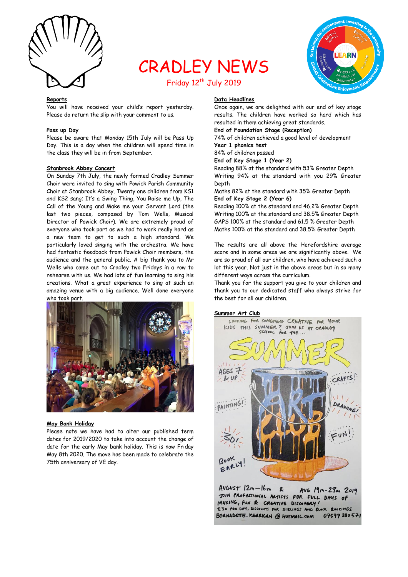

# CRADLEY NEWS



# Friday 12<sup>th</sup> July 2019

#### **Reports**

You will have received your child's report yesterday. Please do return the slip with your comment to us.

# **Pass up Day**

Please be aware that Monday 15th July will be Pass Up Day. This is a day when the children will spend time in the class they will be in from September.

#### **Stanbrook Abbey Concert**

On Sunday 7th July, the newly formed Cradley Summer Choir were invited to sing with Powick Parish Community Choir at Stanbrook Abbey. Twenty one children from KS1 and KS2 sang; It's a Swing Thing, You Raise me Up, The Call of the Young and Make me your Servant Lord (the last two pieces, composed by Tom Wells, Musical Director of Powick Choir). We are extremely proud of everyone who took part as we had to work really hard as a new team to get to such a high standard. We particularly loved singing with the orchestra. We have had fantastic feedback from Powick Choir members, the audience and the general public. A big thank you to Mr Wells who came out to Cradley two Fridays in a row to rehearse with us. We had lots of fun learning to sing his creations. What a great experience to sing at such an amazing venue with a big audience. Well done everyone who took part.



#### **May Bank Holiday**

Please note we have had to alter our published term dates for 2019/2020 to take into account the change of date for the early May bank holiday. This is now Friday May 8th 2020. The move has been made to celebrate the 75th anniversary of VE day.

# **Data Headlines**

Once again, we are delighted with our end of key stage results. The children have worked so hard which has resulted in them achieving great standards.

# **End of Foundation Stage (Reception)**

74% of children achieved a good level of development **Year 1 phonics test**

#### 84% of children passed

**End of Key Stage 1 (Year 2)**

Reading 88% at the standard with 53% Greater Depth Writing 94% at the standard with you 29% Greater Depth

Maths 82% at the standard with 35% Greater Depth **End of Key Stage 2 (Year 6)**

Reading 100% at the standard and 46.2% Greater Depth Writing 100% at the standard and 38.5% Greater Depth GAPS 100% at the standard and 61.5 % Greater Depth Maths 100% at the standard and 38.5% Greater Depth

The results are all above the Herefordshire average score and in some areas we are significantly above. We are so proud of all our children, who have achieved such a lot this year. Not just in the above areas but in so many different ways across the curriculum.

Thank you for the support you give to your children and thank you to our dedicated staff who always strive for the best for all our children.

#### **Summer Art Club**



 $AvGustr 12m - 16m$  $\mathbf{z}$ AUG 19m-23es 2019 JOIN PROFESSIONAL ARTISTS FOR FULL DAYS OF MAKING, FUN & CREATIVE DISCOVERY E30 PER DAY, DISCOUNTS FOR SIBLINGS AND BLOCK BOOKINGS BERNADETTE. KERRIGAN @ HOTMAIL.COM 07597880571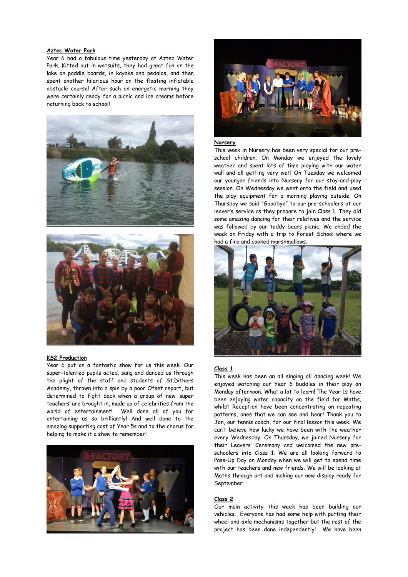# **Aztec Water Park**

Year 6 had a fabulous time yesterday at Aztec Water Park. Kitted out in wetsuits, they had great fun on the lake on paddle boards, in kayaks and pedalos, and then spent another hilarious hour on the floating inflatable obstacle course! After such an energetic morning they were certainly ready for a picnic and ice creams before returning back to school!





#### **KS2 Production**

Year 6 put on a fantastic show for us this week. Our super-talented pupils acted, sang and danced us through the plight of the staff and students of St.Dithers Academy, thrown into a spin by a poor Ofset report, but determined to fight back when a group of new 'super teachers' are brought in, made up of celebrities from the world of entertainment! Well done all of you for entertaining us so brilliantly! And well done to the amazing supporting cast of Year 5s and to the chorus for helping to make it a show to remember!





## **Nursery**

This week in Nursery has been very special for our preschool children. On Monday we enjoyed the lovely weather and spent lots of time playing with our water wall and all getting very wet! On Tuesday we welcomed our younger friends into Nursery for our stay-and-play session. On Wednesday we went onto the field and used the play equipment for a morning playing outside. On Thursday we said "Goodbye" to our pre-schoolers at our leaver's service as they prepare to join Class 1. They did some amazing dancing for their relatives and the service was followed by our teddy bears picnic. We ended the week on Friday with a trip to Forest School where we had a fire and cooked marshmallows.



#### **Class 1**

This week has been an all singing all dancing week! We enjoyed watching our Year 6 buddies in their play on Monday afternoon. What a lot to learn! The Year 1s have been enjoying water capacity on the field for Maths, whilst Reception have been concentrating on repeating patterns, ones that we can see and hear! Thank you to Jon, our tennis coach, for our final lesson this week. We can't believe how lucky we have been with the weather every Wednesday. On Thursday, we joined Nursery for their Leavers' Ceremony and welcomed the new preschoolers into Class 1. We are all looking forward to Pass-Up Day on Monday when we will get to spend time with our teachers and new friends. We will be looking at Maths through art and making our new display ready for September.

# **Class 2**

Our main activity this week has been building our vehicles. Everyone has had some help with putting their wheel and axle mechanisms together but the rest of the project has been done independently! We have been